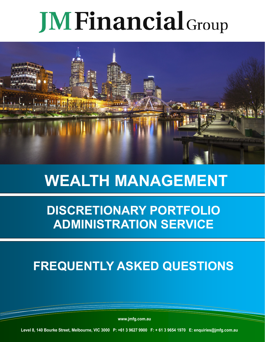# **JM Financial** Group



# **WEALTH MANAGEMENT**

### **DISCRETIONARY PORTFOLIO ADMINISTRATION SERVICE**

## **FREQUENTLY ASKED QUESTIONS**

**www.jmfg.com.au**

**Level 8, 140 Bourke Street, Melbourne, VIC 3000 P: +61 3 9627 9900 F: + 61 3 9654 1970 E: enquiries@jmfg.com.au**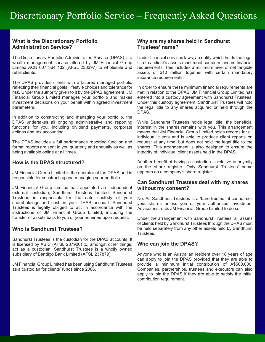#### **What is the Discretionary Portfolio Administration Service?**

The Discretionary Portfolio Administration Service (DPAS) is a wealth management service offered by JM Financial Group Limited ACN 007 364 132 (AFSL 238397) to wholesale and retail clients.

The DPAS provides clients with a tailored managed portfolio reflecting their financial goals, lifestyle choices and tolerance for risk. Under the authority given to it by the DPAS agreement, JM Financial Group Limited manages your portfolio and makes investment decisions on your behalf within agreed investment parameters.

In addition to constructing and managing your portfolio, the DPAS undertakes all ongoing administrative and reporting functions for you, including dividend payments, corporate actions and tax accounting.

The DPAS includes a full performance reporting function and formal reports are sent to you quarterly and annually as well as being available online at all times.

#### **How is the DPAS structured?**

JM Financial Group Limited is the operator of the DPAS and is responsible for constructing and managing your portfolio.

JM Financial Group Limited has appointed an independent external custodian, Sandhurst Trustees Limited. Sandhurst Trustees is responsible for the safe custody of your shareholdings and cash in your DPAS account. Sandhurst Trustees is legally obliged to act in accordance with the instructions of JM Financial Group Limited, including the transfer of assets back to you or your nominee upon request.

#### **Who is Sandhurst Trustees?**

Sandhurst Trustees is the custodian for the DPAS accounts. It is licensed by ASIC (AFSL 237906) to, amongst other things, act as a custodian. Sandhurst Trustees is a wholly owned subsidiary of Bendigo Bank Limited (AFSL 237879).

JM Financial Group Limited has been using Sandhurst Trustees as a custodian for clients' funds since 2006.

#### **Why are my shares held in Sandhurst Trustees' name?**

Under financial services laws, an entity which holds the legal title to a client's assets must meet certain minimum financial requirements. This includes a minimum level of net tangible assets of \$10 million together with certain mandatory insurance requirements.

In order to ensure these minimum financial requirements are met in relation to the DPAS, JM Financial Group Limited has entered into a custody agreement with Sandhurst Trustees. Under this custody agreement, Sandhurst Trustees will hold the legal title to any shares acquired or held through the DPAS.

While Sandhurst Trustees holds legal title, the beneficial interest in the shares remains with you. This arrangement means that JM Financial Group Limited holds records for all individual clients and is able to produce client reports on request at any time, but does not hold the legal title to the shares. This arrangement is also designed to ensure the integrity of individual client assets held in the DPAS.

Another benefit of having a custodian is relative anonymity on the share register. Only Sandhurst Trustees' name appears on a company's share register.

#### **Can Sandhurst Trustees deal with my shares without my consent?**

No. As Sandhurst Trustees is a 'bare trustee', it cannot sell your shares unless you or your authorised Investment Adviser instructs JM Financial Group Limited to do so.

Under the arrangement with Sandhurst Trustees, all assets of clients held by Sandhurst Trustees through the DPAS must be held separately from any other assets held by Sandhurst Trustees.

#### **Who can join the DPAS?**

Anyone who is an Australian resident over 18 years of age can apply to join the DPAS provided that they are able to provide a minimum initial contribution of A\$500,000. Companies, partnerships, trustees and executors can also apply to join the DPAS if they are able to satisfy the initial contribution requirement.